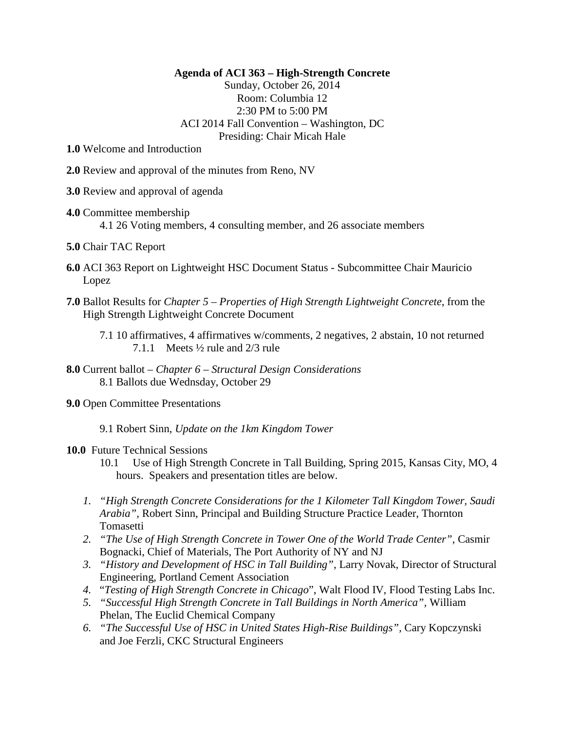## **Agenda of ACI 363 – High-Strength Concrete**

Sunday, October 26, 2014 Room: Columbia 12 2:30 PM to 5:00 PM ACI 2014 Fall Convention – Washington, DC Presiding: Chair Micah Hale

**1.0** Welcome and Introduction

- **2.0** Review and approval of the minutes from Reno, NV
- **3.0** Review and approval of agenda
- **4.0** Committee membership 4.1 26 Voting members, 4 consulting member, and 26 associate members
- **5.0** Chair TAC Report
- **6.0** ACI 363 Report on Lightweight HSC Document Status Subcommittee Chair Mauricio Lopez
- **7.0** Ballot Results for *Chapter 5 – Properties of High Strength Lightweight Concrete*, from the High Strength Lightweight Concrete Document

- **8.0** Current ballot *Chapter 6 – Structural Design Considerations* 8.1 Ballots due Wednsday, October 29
- **9.0** Open Committee Presentations

9.1 Robert Sinn, *Update on the 1km Kingdom Tower*

## **10.0** Future Technical Sessions

- 10.1 Use of High Strength Concrete in Tall Building, Spring 2015, Kansas City, MO, 4 hours. Speakers and presentation titles are below.
- *1. "High Strength Concrete Considerations for the 1 Kilometer Tall Kingdom Tower, Saudi Arabia"*, Robert Sinn, Principal and Building Structure Practice Leader, Thornton Tomasetti
- *2. "The Use of High Strength Concrete in Tower One of the World Trade Center"*, Casmir Bognacki, Chief of Materials, The Port Authority of NY and NJ
- *3. "History and Development of HSC in Tall Building"*, Larry Novak, Director of Structural Engineering, Portland Cement Association
- *4.* "*Testing of High Strength Concrete in Chicago*", Walt Flood IV, Flood Testing Labs Inc.
- *5. "Successful High Strength Concrete in Tall Buildings in North America",* William Phelan, The Euclid Chemical Company
- *6. "The Successful Use of HSC in United States High-Rise Buildings",* Cary Kopczynski and Joe Ferzli, CKC Structural Engineers

<sup>7.1</sup> 10 affirmatives, 4 affirmatives w/comments, 2 negatives, 2 abstain, 10 not returned 7.1.1 Meets ½ rule and 2/3 rule